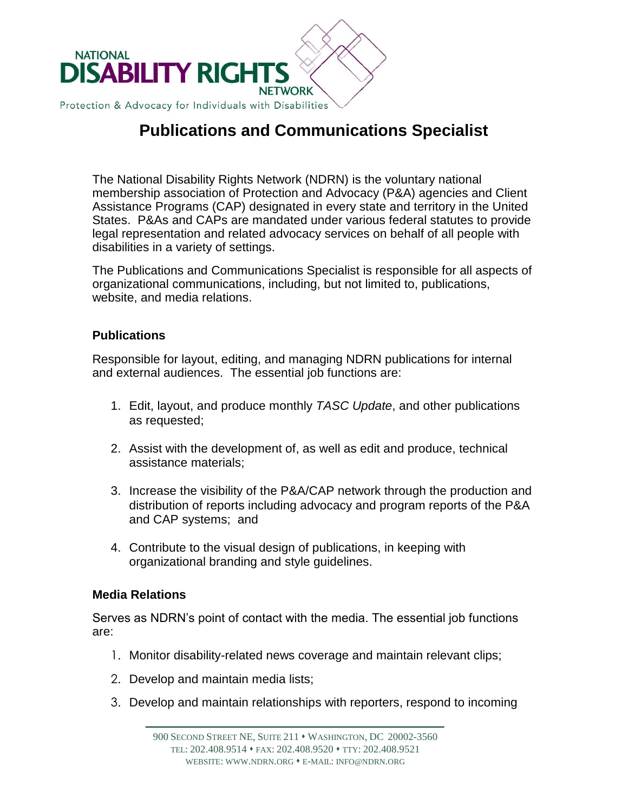

# **Publications and Communications Specialist**

The National Disability Rights Network (NDRN) is the voluntary national membership association of Protection and Advocacy (P&A) agencies and Client Assistance Programs (CAP) designated in every state and territory in the United States. P&As and CAPs are mandated under various federal statutes to provide legal representation and related advocacy services on behalf of all people with disabilities in a variety of settings.

The Publications and Communications Specialist is responsible for all aspects of organizational communications, including, but not limited to, publications, website, and media relations.

## **Publications**

Responsible for layout, editing, and managing NDRN publications for internal and external audiences. The essential job functions are:

- 1. Edit, layout, and produce monthly *TASC Update*, and other publications as requested;
- 2. Assist with the development of, as well as edit and produce, technical assistance materials;
- 3. Increase the visibility of the P&A/CAP network through the production and distribution of reports including advocacy and program reports of the P&A and CAP systems; and
- 4. Contribute to the visual design of publications, in keeping with organizational branding and style guidelines.

## **Media Relations**

Serves as NDRN's point of contact with the media. The essential job functions are:

- 1. Monitor disability-related news coverage and maintain relevant clips;
- 2. Develop and maintain media lists;
- 3. Develop and maintain relationships with reporters, respond to incoming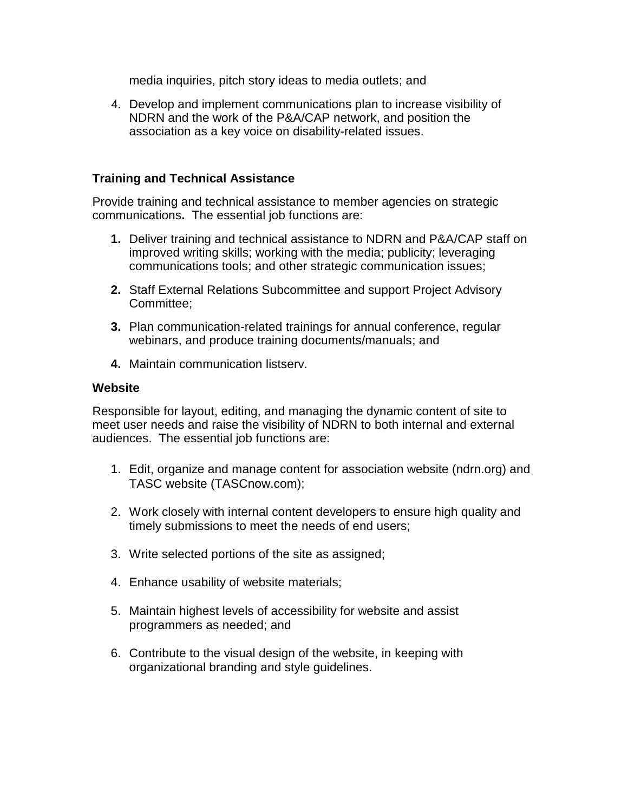media inquiries, pitch story ideas to media outlets; and

4. Develop and implement communications plan to increase visibility of NDRN and the work of the P&A/CAP network, and position the association as a key voice on disability-related issues.

## **Training and Technical Assistance**

Provide training and technical assistance to member agencies on strategic communications**.** The essential job functions are:

- **1.** Deliver training and technical assistance to NDRN and P&A/CAP staff on improved writing skills; working with the media; publicity; leveraging communications tools; and other strategic communication issues;
- **2.** Staff External Relations Subcommittee and support Project Advisory Committee;
- **3.** Plan communication-related trainings for annual conference, regular webinars, and produce training documents/manuals; and
- **4.** Maintain communication listserv.

#### **Website**

Responsible for layout, editing, and managing the dynamic content of site to meet user needs and raise the visibility of NDRN to both internal and external audiences. The essential job functions are:

- 1. Edit, organize and manage content for association website (ndrn.org) and TASC website (TASCnow.com);
- 2. Work closely with internal content developers to ensure high quality and timely submissions to meet the needs of end users;
- 3. Write selected portions of the site as assigned;
- 4. Enhance usability of website materials;
- 5. Maintain highest levels of accessibility for website and assist programmers as needed; and
- 6. Contribute to the visual design of the website, in keeping with organizational branding and style guidelines.